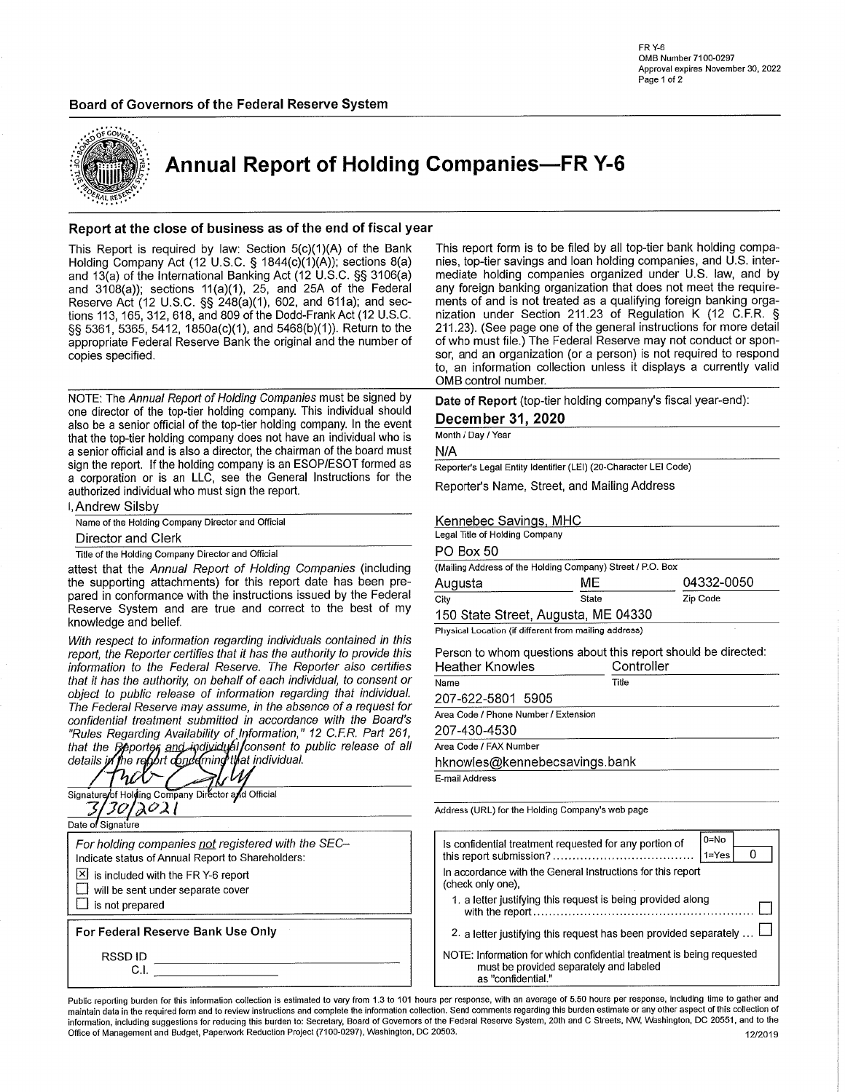

**Annual Report of Holding Companies-FR Y-6** 

### Report at the close of business as of the end of fiscal year

This Report is required by law: Section 5(c)(1)(A) of the Bank<br>Holding Company Act (12 U.S.C. § 1844(c)(1)(A)); sections 8(a) and 13(a) of the International Banking Act (12 U.S.C. §§ 3106(a) and  $3108(a)$ ; sections  $11(a)(1)$ , 25, and 25A of the Federal Reserve Act (12 U.S.C. §§ 248(a)(1), 602, and 611a); and sections 113, 165, 312, 618, and 809 of the Dodd-Frank Act (12 U.S.C. §§ 5361, 5365, 5412, 1850a(c)(1), and 5468(b)(1)). Return to the appropriate Federal Reserve Bank the original and the number of copies specified.

NOTE: The Annual Report of Holding Companies must be signed by one director of the top-tier holding company. This individual should also be a senior official of the top-tier holding company. In the event that the top-tier holding company does not have an individual who is a senior official and is also a director, the chairman of the board must sign the report. If the holding company is an ESOP/ESOT formed as a corporation or is an LLC, see the General Instructions for the authorized individual who must sign the report.

I. Andrew Silsby

| Name of the Holding Company Director and Official |
|---------------------------------------------------|

Director and Clerk

Title of the Holding Company Director and Official

attest that the Annual Report of Holding Companies (including the supporting attachments) for this report date has been prepared in conformance with the instructions issued by the Federal Reserve System and are true and correct to the best of my knowledge and belief.

With respect to information regarding individuals contained in this report, the Reporter certifies that it has the authority to provide this information to the Federal Reserve. The Reporter also certifies that it has the authority, on behalf of each individual, to consent or object to public release of information regarding that individual. The Federal Reserve may assume, in the absence of a request for confidential treatment submitted in accordance with the Board's "Rules Regarding Availability of Information," 12 C.F.R. Part 261,<br>that the Reporter and individual consent to public release of all<br>details in the report of moderning that individual.

| Signature of Holding Company Director and Official |
|----------------------------------------------------|
|                                                    |
| Date of Signature                                  |
| For holding companies not registered with the SEC- |
| Indicate status of Annual Report to Shareholders:  |
| $\boxtimes$ is included with the FR Y-6 report     |
| will be sent under separate cover                  |
| is not prepared                                    |
| For Federal Reserve Bank Use Only                  |
|                                                    |
| RSSD ID                                            |
| CΙ                                                 |
|                                                    |

This report form is to be filed by all top-tier bank holding companies, top-tier savings and loan holding companies, and U.S. intermediate holding companies organized under U.S. law, and by any foreign banking organization that does not meet the requirements of and is not treated as a qualifying foreign banking organization under Section 211.23 of Regulation K (12 C.F.R. § 211.23). (See page one of the general instructions for more detail of who must file.) The Federal Reserve may not conduct or sponsor, and an organization (or a person) is not required to respond to, an information collection unless it displays a currently valid OMB control number.

Date of Report (top-tier holding company's fiscal year-end):

### December 31, 2020

Month / Day / Year

 $N/A$ 

Reporter's Legal Entity Identifier (LEI) (20-Character LEI Code)

Reporter's Name, Street, and Mailing Address

### Kennebec Savings, MHC

| Legal Title of Holding Company |                                                            |            |
|--------------------------------|------------------------------------------------------------|------------|
| PO Box 50                      |                                                            |            |
|                                | (Mailing Address of the Holding Company) Street / P.O. Box |            |
| Augusta                        | MЕ                                                         | 04332-0050 |
| City                           | State                                                      | Zip Code   |
|                                | 150 State Street, Augusta, ME 04330                        |            |
|                                | Physical Location (if different from mailing address)      |            |

Person to whom questions about this report should be directed:

| Heather Knowles                      | Controller |  |
|--------------------------------------|------------|--|
| Name                                 | Title      |  |
| 207-622-5801 5905                    |            |  |
| Area Code / Phone Number / Extension |            |  |
| 207-430-4530                         |            |  |
| Area Code / FAX Number               |            |  |
| hknowles@kennebecsavings.bank        |            |  |
| E-mail Address                       |            |  |

Address (URL) for the Holding Company's web page

| Is confidential treatment requested for any portion of                                                                                 | $0 = No$<br>1=Yes |  |  |  |  |
|----------------------------------------------------------------------------------------------------------------------------------------|-------------------|--|--|--|--|
| In accordance with the General Instructions for this report<br>(check only one).                                                       |                   |  |  |  |  |
| 1. a letter justifying this request is being provided along                                                                            |                   |  |  |  |  |
| 2. a letter justifying this request has been provided separately                                                                       |                   |  |  |  |  |
| NOTE: Information for which confidential treatment is being requested<br>must be provided separately and labeled<br>as "confidential." |                   |  |  |  |  |

Public reporting burden for this information collection is estimated to vary from 1.3 to 101 hours per response, with an average of 5.50 hours per response, including time to gather and maintain data in the required form and to review instructions and complete the information collection. Send comments regarding this burden estimate or any other aspect of this collection of information, including suggestions for reducing this burden to: Secretary, Board of Governors of the Federal Reserve System, 20th and C Streets, NW, Washington, DC 20551, and to the Office of Management and Budget, Paperwork Reduction Project (7100-0297), Washington, DC 20503. 12/2019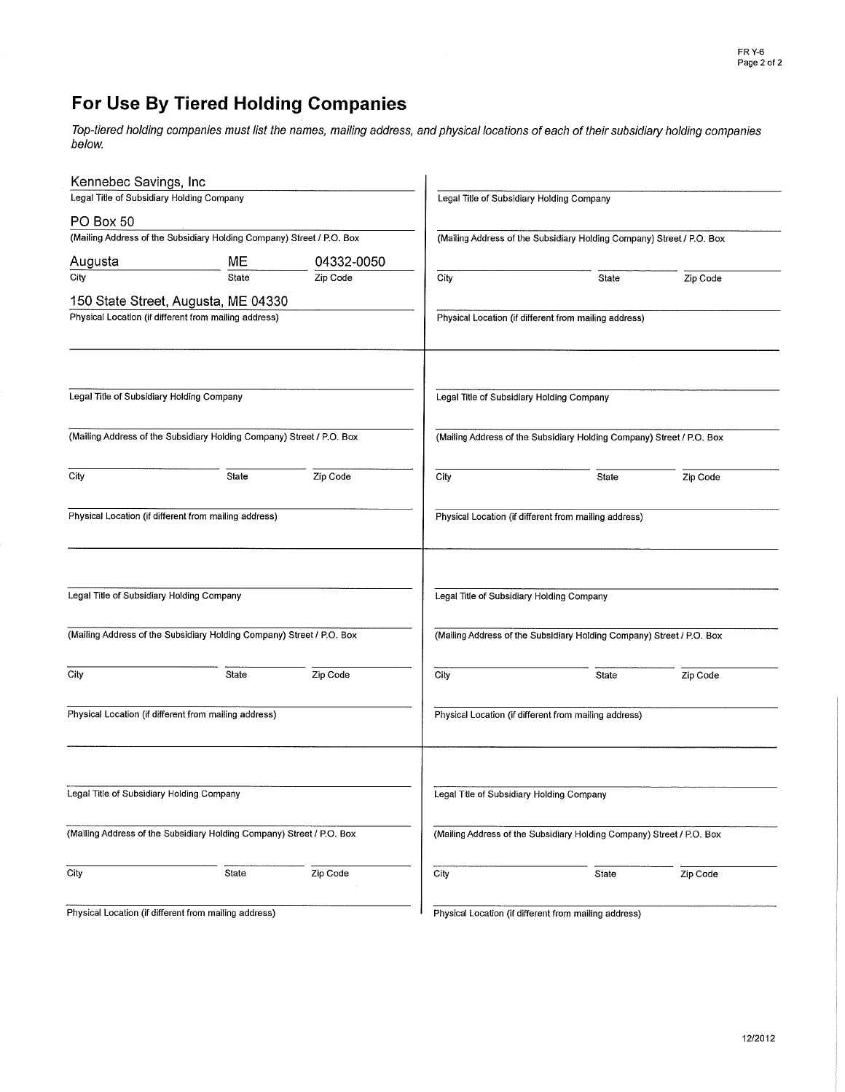# For Use By Tiered Holding Companies

Top-tiered holding companies must list the names, mailing address, and physical locations of each of their subsidiary holding companies below.

| Kennebec Savings, Inc                     |                                                                       |            |      |                                                                       |          |
|-------------------------------------------|-----------------------------------------------------------------------|------------|------|-----------------------------------------------------------------------|----------|
| Legal Title of Subsidiary Holding Company |                                                                       |            |      | Legal Title of Subsidiary Holding Company                             |          |
| PO Box 50                                 |                                                                       |            |      |                                                                       |          |
|                                           | (Mailing Address of the Subsidiary Holding Company) Street / P.O. Box |            |      | (Mailing Address of the Subsidiary Holding Company) Street / P.O. Box |          |
| Augusta                                   | MЕ                                                                    | 04332-0050 |      |                                                                       |          |
| City                                      | State                                                                 | Zip Code   | City | State                                                                 | Zip Code |
|                                           | 150 State Street, Augusta, ME 04330                                   |            |      |                                                                       |          |
|                                           | Physical Location (if different from mailing address)                 |            |      | Physical Location (if different from mailing address)                 |          |
|                                           |                                                                       |            |      |                                                                       |          |
|                                           |                                                                       |            |      |                                                                       |          |
| Legal Title of Subsidiary Holding Company |                                                                       |            |      | Legal Title of Subsidiary Holding Company                             |          |
|                                           | (Mailing Address of the Subsidiary Holding Company) Street / P.O. Box |            |      | (Mailing Address of the Subsidiary Holding Company) Street / P.O. Box |          |
| City                                      | State                                                                 | Zip Code   | City | State                                                                 | Zip Code |
|                                           | Physical Location (if different from mailing address)                 |            |      | Physical Location (if different from mailing address)                 |          |
| Legal Title of Subsidiary Holding Company |                                                                       |            |      | Legal Title of Subsidiary Holding Company                             |          |
|                                           | (Mailing Address of the Subsidiary Holding Company) Street / P.O. Box |            |      | (Mailing Address of the Subsidiary Holding Company) Street / P.O. Box |          |
| City                                      | State                                                                 | Zip Code   | City | State                                                                 | Zip Code |
|                                           | Physical Location (if different from mailing address)                 |            |      | Physical Location (if different from mailing address)                 |          |
| Legal Title of Subsidiary Holding Company |                                                                       |            |      | Legal Title of Subsidiary Holding Company                             |          |
|                                           | (Mailing Address of the Subsidiary Holding Company) Street / P.O. Box |            |      | (Mailing Address of the Subsidiary Holding Company) Street / P.O. Box |          |
| City                                      | State                                                                 | Zip Code   | City | State                                                                 | Zip Code |
|                                           | Physical Location (if different from mailing address)                 |            |      | Physical Location (if different from mailing address)                 |          |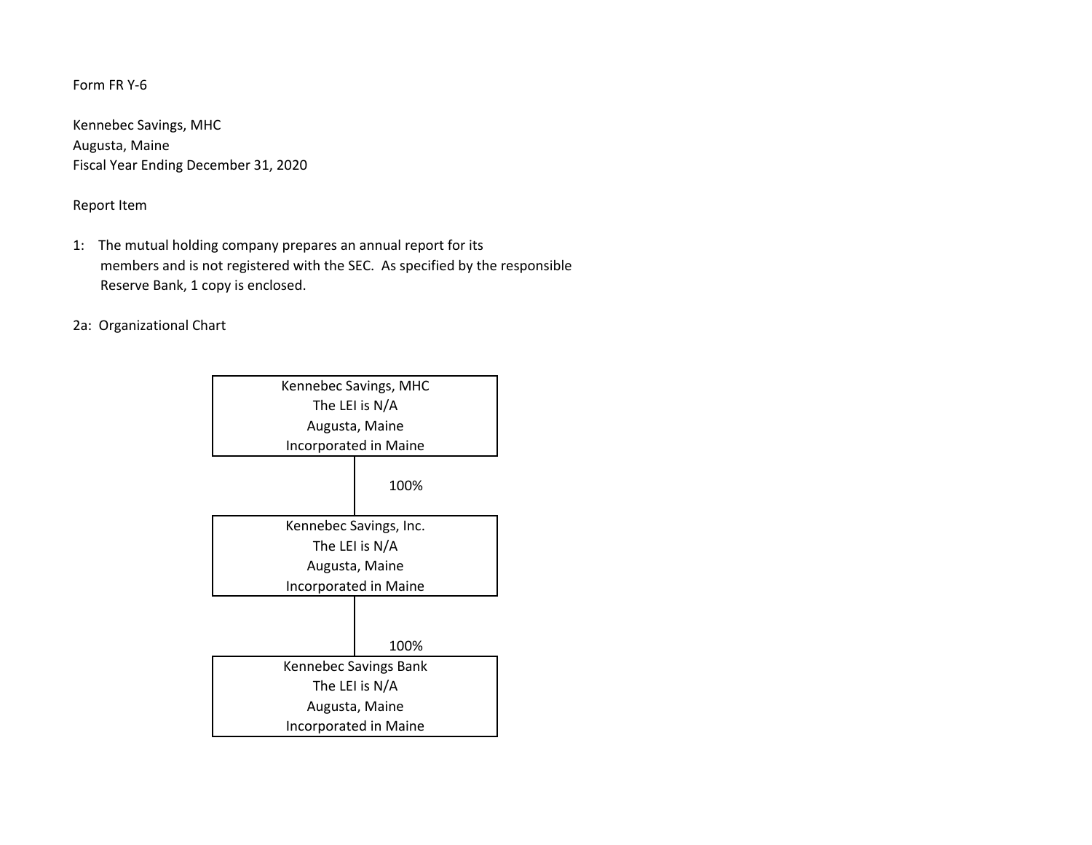# Form FR Y‐6

Kennebec Savings, MHC Augusta, Maine Fiscal Year Ending December 31, 2020

# Report Item

- 1: The mutual holding company prepares an annual report for its members and is not registered with the SEC. As specified by the responsible Reserve Bank, 1 copy is enclosed.
- 2a: Organizational Chart

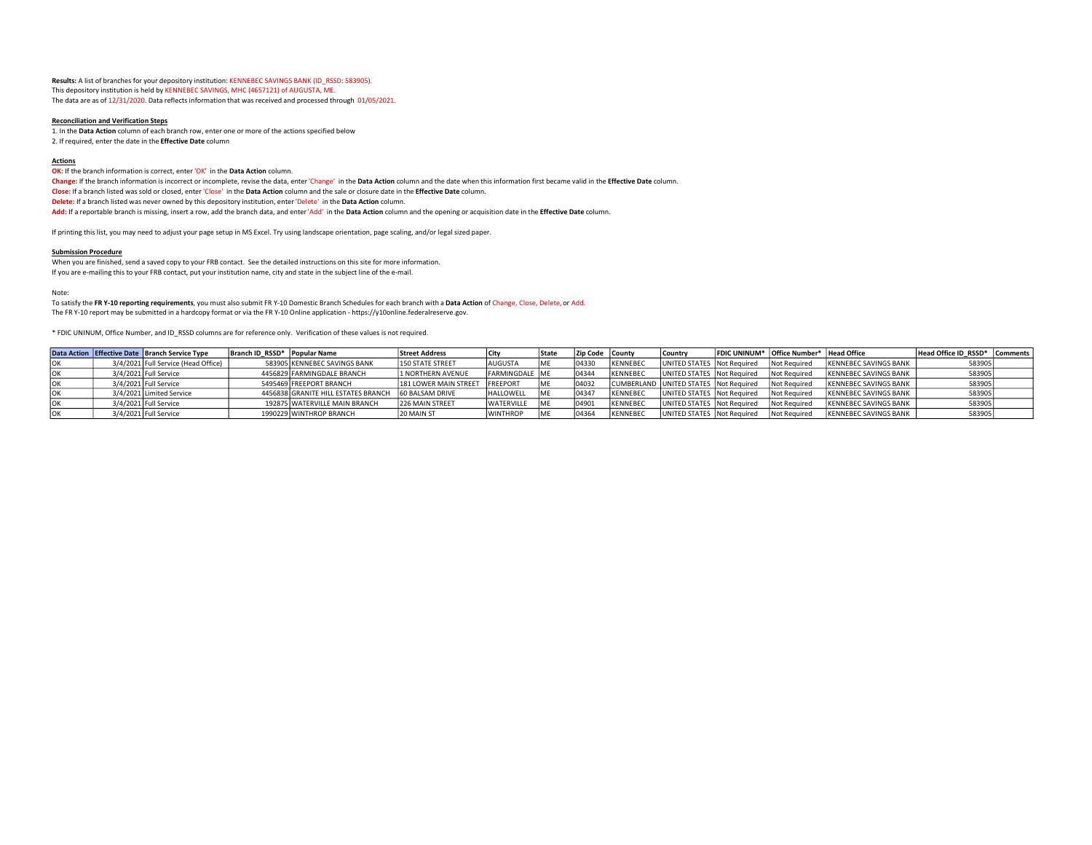**Results:** A list of branches for your depository institution: KENNEBEC SAVINGS BANK (ID\_RSSD: 583905). This depository institution is held by KENNEBEC SAVINGS, MHC (4657121) of AUGUSTA, ME. The data are as of 12/31/2020. Data reflects information that was received and processed through 01/05/2021.

#### **Reconciliation and Verification Steps**

1. In the **Data Action** column of each branch row, enter one or more of the actions specified below 2. If required, enter the date in the **Effective Date** column

#### **Actions**

**OK:** If the branch information is correct, enter 'OK' in the **Data Action** column.

**Change:** If the branch information is incorrect or incomplete, revise the data, enter 'Change' in the **Data Action** column and the date when this information first became valid in the **Effective Date** column. **Close:** If a branch listed was sold or closed, enter 'Close' in the **Data Action** column and the sale or closure date in the **Effective Date** column. **Delete:** If a branch listed was never owned by this depository institution, enter 'Delete' in the **Data Action** column. **Add:** If a reportable branch is missing, insert a row, add the branch data, and enter 'Add' in the **Data Action** column and the opening or acquisition date in the **Effective Date** column.

If printing this list, you may need to adjust your page setup in MS Excel. Try using landscape orientation, page scaling, and/or legal sized paper.

#### **Submission Procedure**

 When you are finished, send a saved copy to your FRB contact. See the detailed instructions on this site for more information. If you are e-mailing this to your FRB contact, put your institution name, city and state in the subject line of the e-mail.

#### Note:

 To satisfy the **FR Y-10 reporting requirements**, you must also submit FR Y10 Domestic Branch Schedules for each branch with a **Data Action** of Change, Close, Delete, or Add. The FR Y-10 report may be submitted in a hardcopy format or via the FR Y-10 Online application - https://y10online.federalreserve.gov.

\* FDIC UNINUM, Office Number, and ID\_RSSD columns are for reference only. Verification of these values is not required.

|     | Data Action   Effective Date   Branch Service Type | Branch ID RSSD* Popular Name |                                     | <b>Street Address</b>   |                         | l State | <b>IZip Code I County</b> |                 | l Country                             | FDIC UNINUM* Office Number* Head Office |                              | Head Office ID RSSD* Comments |  |
|-----|----------------------------------------------------|------------------------------|-------------------------------------|-------------------------|-------------------------|---------|---------------------------|-----------------|---------------------------------------|-----------------------------------------|------------------------------|-------------------------------|--|
|     | 3/4/2021 Full Service (Head Office)                |                              | 583905 KENNEBEC SAVINGS BANK        | <b>150 STATE STREET</b> | <b>AUGUSTA</b>          | lmf     | 104330                    | KENNEBEC        | <b>UNITED STATES Not Required</b>     | Not Required                            | <b>KENNEBEC SAVINGS BANK</b> | 583905                        |  |
|     | 3/4/2021 Full Service                              |                              | 4456829 FARMINGDALE BRANCH          | 11 NORTHERN AVENUE      | <b>IFARMINGDALE IME</b> |         | 104344                    | KENNEBEC        | UNITED STATES Not Required            | Not Required                            | IKENNEBEC SAVINGS BANK       | 583905                        |  |
| IUK | 3/4/2021 Full Service                              |                              | 5495469 FREEPORT BRANCH             | 181 LOWER MAIN STREET   | <b>IFREEPORT</b>        | IMF     | 104032                    |                 | CUMBERLAND UNITED STATES Not Required | Not Required                            | IKENNEBEC SAVINGS BANK       | 583905                        |  |
|     | 3/4/2021 Limited Service                           |                              | 4456838 GRANITE HILL ESTATES BRANCH | <b>60 BALSAM DRIVE</b>  | <b>HALLOWELL</b>        |         | 104347                    | KENNEBEC        | UNITED STATES   Not Required          | Not Required                            | <b>KENNEBEC SAVINGS BANK</b> | 583905                        |  |
|     | 3/4/2021 Full Service                              |                              | 192875 WATERVILLE MAIN BRANCH       | <b>226 MAIN STREET</b>  | <b>WATERVILLE</b>       |         | 04901                     | <b>KENNEBEC</b> | UNITED STATES Not Required            | Not Required                            | IKENNEBEC SAVINGS BANK       | 583905                        |  |
|     | 3/4/2021 Full Service                              |                              | 1990229 WINTHROP BRANCH             | 20 MAIN ST              | <b>WINTHROP</b>         |         | 104364                    | <b>KENNEBEC</b> | UNITED STATES Not Required            | Not Required                            | IKENNEBEC SAVINGS BANK       | 583905                        |  |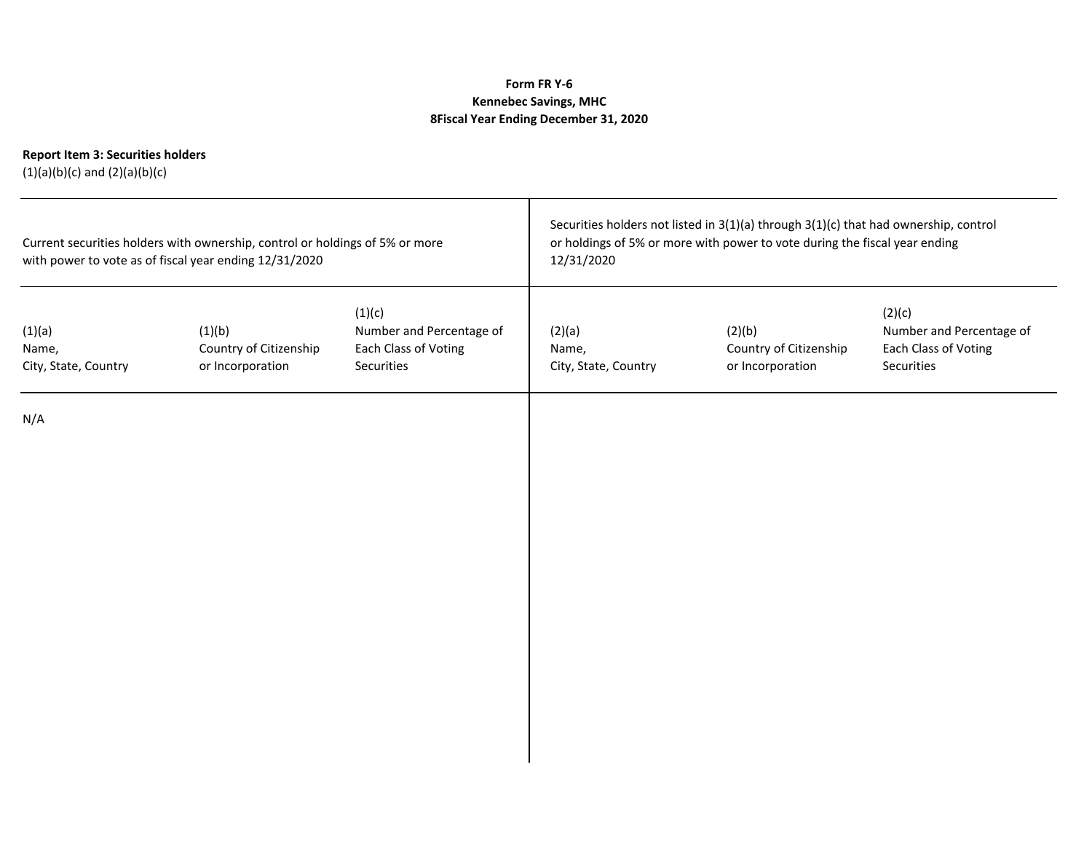# **Form FR Y‐6 Kennebec Savings, MHC 8Fiscal Year Ending December 31, 2020**

# **Report Item 3: Securities holders**

(1)(a)(b)(c) and (2)(a)(b)(c)

| Current securities holders with ownership, control or holdings of 5% or more<br>with power to vote as of fiscal year ending 12/31/2020 |                                                      |                                                                          | Securities holders not listed in 3(1)(a) through 3(1)(c) that had ownership, control<br>or holdings of 5% or more with power to vote during the fiscal year ending<br>12/31/2020 |                                                      |                                                                          |  |
|----------------------------------------------------------------------------------------------------------------------------------------|------------------------------------------------------|--------------------------------------------------------------------------|----------------------------------------------------------------------------------------------------------------------------------------------------------------------------------|------------------------------------------------------|--------------------------------------------------------------------------|--|
| (1)(a)<br>Name,<br>City, State, Country                                                                                                | (1)(b)<br>Country of Citizenship<br>or Incorporation | (1)(c)<br>Number and Percentage of<br>Each Class of Voting<br>Securities | (2)(a)<br>Name,<br>City, State, Country                                                                                                                                          | (2)(b)<br>Country of Citizenship<br>or Incorporation | (2)(c)<br>Number and Percentage of<br>Each Class of Voting<br>Securities |  |
| N/A                                                                                                                                    |                                                      |                                                                          |                                                                                                                                                                                  |                                                      |                                                                          |  |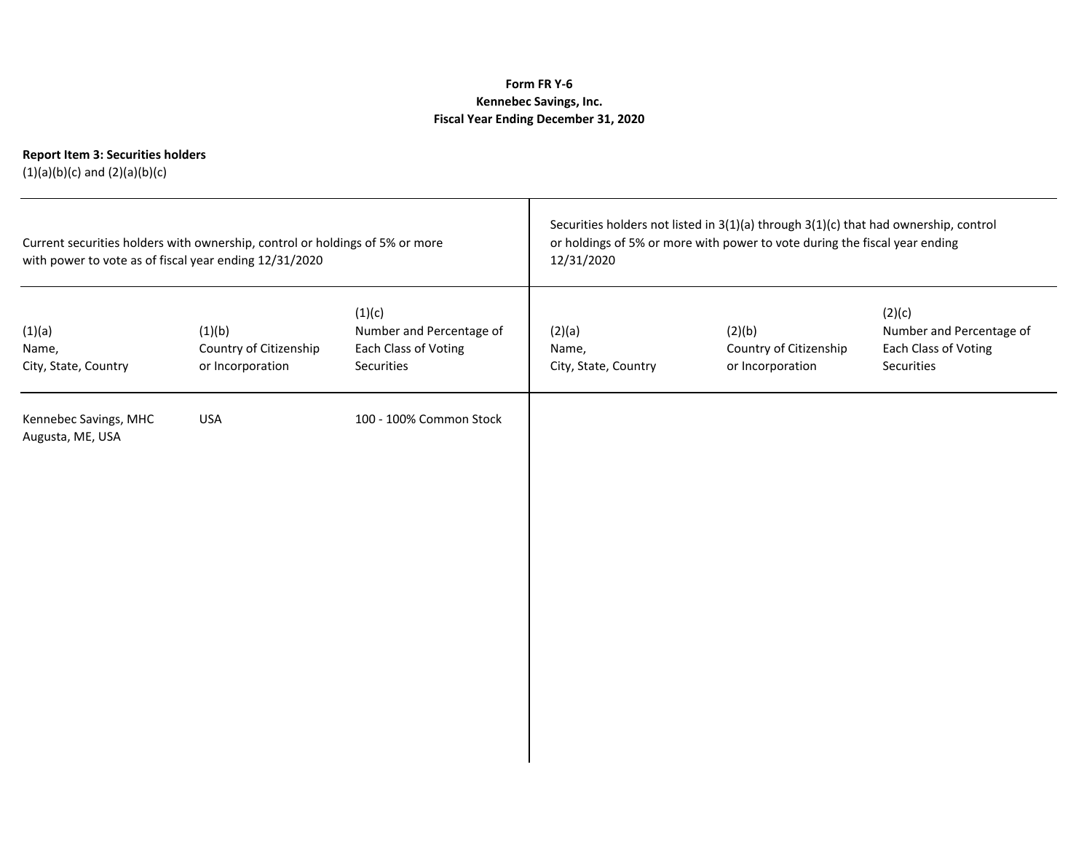# **Form FR Y‐6 Kennebec Savings, Inc. Fiscal Year Ending December 31, 2020**

# **Report Item 3: Securities holders**

(1)(a)(b)(c) and (2)(a)(b)(c)

| with power to vote as of fiscal year ending 12/31/2020 | Current securities holders with ownership, control or holdings of 5% or more |                                                                          | Securities holders not listed in 3(1)(a) through 3(1)(c) that had ownership, control<br>or holdings of 5% or more with power to vote during the fiscal year ending<br>12/31/2020 |                                                      |                                                                          |  |
|--------------------------------------------------------|------------------------------------------------------------------------------|--------------------------------------------------------------------------|----------------------------------------------------------------------------------------------------------------------------------------------------------------------------------|------------------------------------------------------|--------------------------------------------------------------------------|--|
| (1)(a)<br>Name,<br>City, State, Country                | (1)(b)<br>Country of Citizenship<br>or Incorporation                         | (1)(c)<br>Number and Percentage of<br>Each Class of Voting<br>Securities | (2)(a)<br>Name,<br>City, State, Country                                                                                                                                          | (2)(b)<br>Country of Citizenship<br>or Incorporation | (2)(c)<br>Number and Percentage of<br>Each Class of Voting<br>Securities |  |
| Kennebec Savings, MHC<br>Augusta, ME, USA              | <b>USA</b>                                                                   | 100 - 100% Common Stock                                                  |                                                                                                                                                                                  |                                                      |                                                                          |  |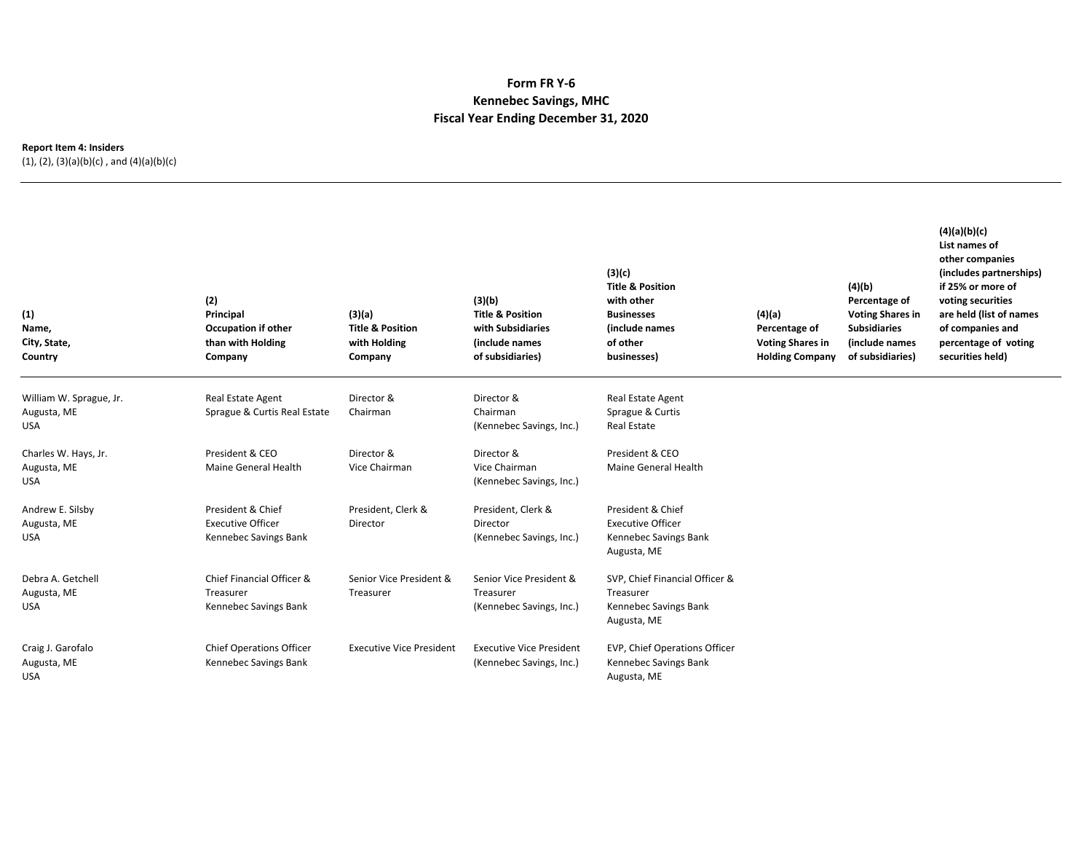### **Form FR Y‐6 Kennebec Savings, MHC Fiscal Year Ending December 31, 2020**

### **Report Item 4: Insiders**

(1), (2), (3)(a)(b)(c) , and (4)(a)(b)(c)

| (1)<br>Name,<br>City, State,<br>Country              | (2)<br>Principal<br><b>Occupation if other</b><br>than with Holding<br>Company | (3)(a)<br><b>Title &amp; Position</b><br>with Holding<br>Company | (3)(b)<br><b>Title &amp; Position</b><br>with Subsidiaries<br>(include names<br>of subsidiaries) | (3)(c)<br><b>Title &amp; Position</b><br>with other<br><b>Businesses</b><br>(include names<br>of other<br>businesses) | (4)(a)<br>Percentage of<br><b>Voting Shares in</b><br><b>Holding Company</b> | (4)(b)<br>Percentage of<br><b>Voting Shares in</b><br><b>Subsidiaries</b><br>(include names<br>of subsidiaries) | (4)(a)(b)(c)<br>List names of<br>other companies<br>(includes partnerships)<br>if 25% or more of<br>voting securities<br>are held (list of names<br>of companies and<br>percentage of voting<br>securities held) |
|------------------------------------------------------|--------------------------------------------------------------------------------|------------------------------------------------------------------|--------------------------------------------------------------------------------------------------|-----------------------------------------------------------------------------------------------------------------------|------------------------------------------------------------------------------|-----------------------------------------------------------------------------------------------------------------|------------------------------------------------------------------------------------------------------------------------------------------------------------------------------------------------------------------|
| William W. Sprague, Jr.<br>Augusta, ME<br><b>USA</b> | <b>Real Estate Agent</b><br>Sprague & Curtis Real Estate                       | Director &<br>Chairman                                           | Director &<br>Chairman<br>(Kennebec Savings, Inc.)                                               | <b>Real Estate Agent</b><br>Sprague & Curtis<br><b>Real Estate</b>                                                    |                                                                              |                                                                                                                 |                                                                                                                                                                                                                  |
| Charles W. Hays, Jr.<br>Augusta, ME<br><b>USA</b>    | President & CEO<br>Maine General Health                                        | Director &<br>Vice Chairman                                      | Director &<br>Vice Chairman<br>(Kennebec Savings, Inc.)                                          | President & CEO<br>Maine General Health                                                                               |                                                                              |                                                                                                                 |                                                                                                                                                                                                                  |
| Andrew E. Silsby<br>Augusta, ME<br><b>USA</b>        | President & Chief<br><b>Executive Officer</b><br>Kennebec Savings Bank         | President, Clerk &<br>Director                                   | President, Clerk &<br>Director<br>(Kennebec Savings, Inc.)                                       | President & Chief<br><b>Executive Officer</b><br>Kennebec Savings Bank<br>Augusta, ME                                 |                                                                              |                                                                                                                 |                                                                                                                                                                                                                  |
| Debra A. Getchell<br>Augusta, ME<br><b>USA</b>       | Chief Financial Officer &<br>Treasurer<br>Kennebec Savings Bank                | Senior Vice President &<br>Treasurer                             | Senior Vice President &<br>Treasurer<br>(Kennebec Savings, Inc.)                                 | SVP, Chief Financial Officer &<br>Treasurer<br>Kennebec Savings Bank<br>Augusta, ME                                   |                                                                              |                                                                                                                 |                                                                                                                                                                                                                  |
| Craig J. Garofalo<br>Augusta, ME<br><b>USA</b>       | <b>Chief Operations Officer</b><br>Kennebec Savings Bank                       | <b>Executive Vice President</b>                                  | <b>Executive Vice President</b><br>(Kennebec Savings, Inc.)                                      | EVP, Chief Operations Officer<br>Kennebec Savings Bank<br>Augusta, ME                                                 |                                                                              |                                                                                                                 |                                                                                                                                                                                                                  |